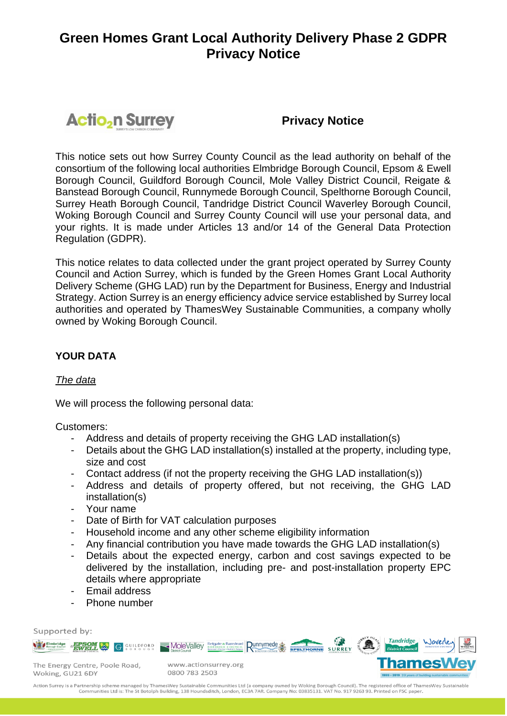# **Actio<sub>2</sub>n Surrey**

# **Privacy Notice**

This notice sets out how Surrey County Council as the lead authority on behalf of the consortium of the following local authorities Elmbridge Borough Council, Epsom & Ewell Borough Council, Guildford Borough Council, Mole Valley District Council, Reigate & Banstead Borough Council, Runnymede Borough Council, Spelthorne Borough Council, Surrey Heath Borough Council, Tandridge District Council Waverley Borough Council, Woking Borough Council and Surrey County Council will use your personal data, and your rights. It is made under Articles 13 and/or 14 of the General Data Protection Regulation (GDPR).

This notice relates to data collected under the grant project operated by Surrey County Council and Action Surrey, which is funded by the Green Homes Grant Local Authority Delivery Scheme (GHG LAD) run by the Department for Business, Energy and Industrial Strategy. Action Surrey is an energy efficiency advice service established by Surrey local authorities and operated by ThamesWey Sustainable Communities, a company wholly owned by Woking Borough Council.

# **YOUR DATA**

### *The data*

We will process the following personal data:

Customers:

- Address and details of property receiving the GHG LAD installation(s)
- Details about the GHG LAD installation(s) installed at the property, including type, size and cost
- Contact address (if not the property receiving the GHG LAD installation(s))
- Address and details of property offered, but not receiving, the GHG LAD installation(s)
- Your name
- Date of Birth for VAT calculation purposes
- Household income and any other scheme eligibility information
- Any financial contribution you have made towards the GHG LAD installation(s)
- Details about the expected energy, carbon and cost savings expected to be delivered by the installation, including pre- and post-installation property EPC details where appropriate
- Email address
- Phone number

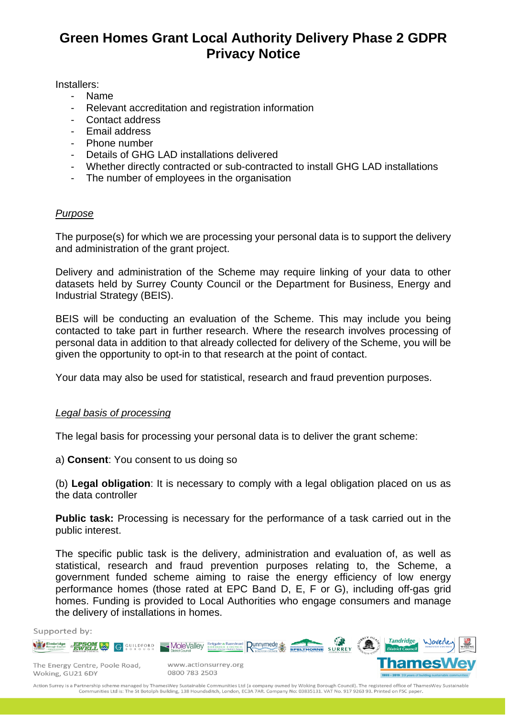Installers:

- Name
- Relevant accreditation and registration information
- Contact address
- Email address
- Phone number
- Details of GHG LAD installations delivered
- Whether directly contracted or sub-contracted to install GHG LAD installations
- The number of employees in the organisation

### *Purpose*

The purpose(s) for which we are processing your personal data is to support the delivery and administration of the grant project.

Delivery and administration of the Scheme may require linking of your data to other datasets held by Surrey County Council or the Department for Business, Energy and Industrial Strategy (BEIS).

BEIS will be conducting an evaluation of the Scheme. This may include you being contacted to take part in further research. Where the research involves processing of personal data in addition to that already collected for delivery of the Scheme, you will be given the opportunity to opt-in to that research at the point of contact.

Your data may also be used for statistical, research and fraud prevention purposes.

### *Legal basis of processing*

The legal basis for processing your personal data is to deliver the grant scheme:

a) **Consent**: You consent to us doing so

(b) **Legal obligation**: It is necessary to comply with a legal obligation placed on us as the data controller

**Public task:** Processing is necessary for the performance of a task carried out in the public interest.

The specific public task is the delivery, administration and evaluation of, as well as statistical, research and fraud prevention purposes relating to, the Scheme, a government funded scheme aiming to raise the energy efficiency of low energy performance homes (those rated at EPC Band D, E, F or G), including off-gas grid homes. Funding is provided to Local Authorities who engage consumers and manage the delivery of installations in homes.

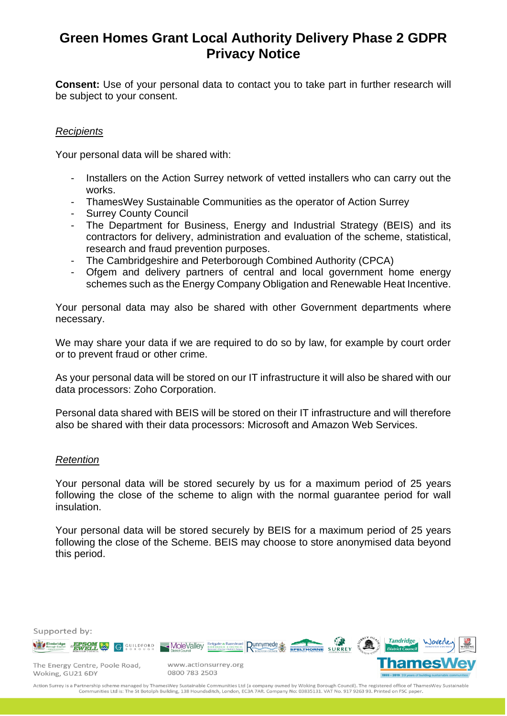**Consent:** Use of your personal data to contact you to take part in further research will be subject to your consent.

# *Recipients*

Your personal data will be shared with:

- Installers on the Action Surrey network of vetted installers who can carry out the works.
- ThamesWey Sustainable Communities as the operator of Action Surrey
- Surrey County Council
- The Department for Business, Energy and Industrial Strategy (BEIS) and its contractors for delivery, administration and evaluation of the scheme, statistical, research and fraud prevention purposes.
- The Cambridgeshire and Peterborough Combined Authority (CPCA)
- Ofgem and delivery partners of central and local government home energy schemes such as the Energy Company Obligation and Renewable Heat Incentive.

Your personal data may also be shared with other Government departments where necessary.

We may share your data if we are required to do so by law, for example by court order or to prevent fraud or other crime.

As your personal data will be stored on our IT infrastructure it will also be shared with our data processors: Zoho Corporation.

Personal data shared with BEIS will be stored on their IT infrastructure and will therefore also be shared with their data processors: Microsoft and Amazon Web Services.

#### *Retention*

Your personal data will be stored securely by us for a maximum period of 25 years following the close of the scheme to align with the normal guarantee period for wall insulation.

Your personal data will be stored securely by BEIS for a maximum period of 25 years following the close of the Scheme. BEIS may choose to store anonymised data beyond this period.

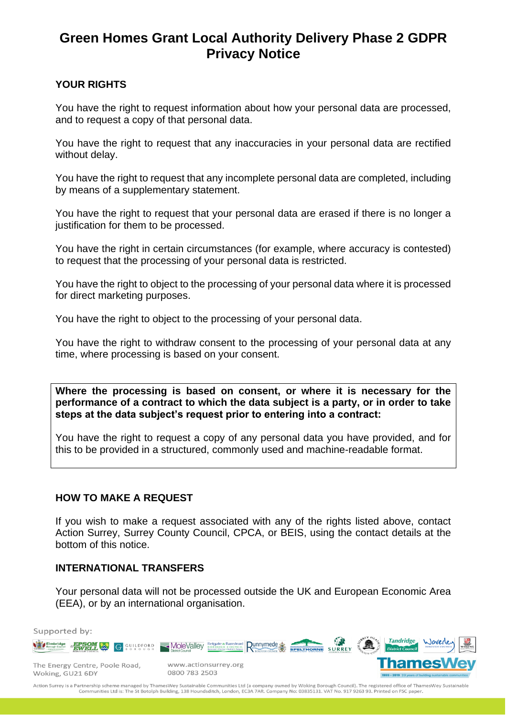# **YOUR RIGHTS**

You have the right to request information about how your personal data are processed, and to request a copy of that personal data.

You have the right to request that any inaccuracies in your personal data are rectified without delay.

You have the right to request that any incomplete personal data are completed, including by means of a supplementary statement.

You have the right to request that your personal data are erased if there is no longer a justification for them to be processed.

You have the right in certain circumstances (for example, where accuracy is contested) to request that the processing of your personal data is restricted.

You have the right to object to the processing of your personal data where it is processed for direct marketing purposes.

You have the right to object to the processing of your personal data.

You have the right to withdraw consent to the processing of your personal data at any time, where processing is based on your consent.

**Where the processing is based on consent, or where it is necessary for the performance of a contract to which the data subject is a party, or in order to take steps at the data subject's request prior to entering into a contract:**

You have the right to request a copy of any personal data you have provided, and for this to be provided in a structured, commonly used and machine-readable format.

### **HOW TO MAKE A REQUEST**

If you wish to make a request associated with any of the rights listed above, contact Action Surrey, Surrey County Council, CPCA, or BEIS, using the contact details at the bottom of this notice.

### **INTERNATIONAL TRANSFERS**

Your personal data will not be processed outside the UK and European Economic Area (EEA), or by an international organisation.

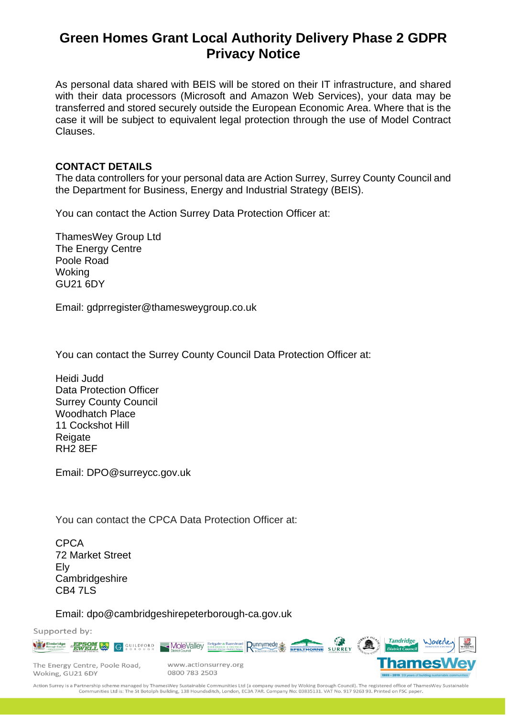As personal data shared with BEIS will be stored on their IT infrastructure, and shared with their data processors (Microsoft and Amazon Web Services), your data may be transferred and stored securely outside the European Economic Area. Where that is the case it will be subject to equivalent legal protection through the use of Model Contract Clauses.

### **CONTACT DETAILS**

The data controllers for your personal data are Action Surrey, Surrey County Council and the Department for Business, Energy and Industrial Strategy (BEIS).

You can contact the Action Surrey Data Protection Officer at:

ThamesWey Group Ltd The Energy Centre Poole Road **Woking** GU21 6DY

Email: gdprregister@thamesweygroup.co.uk

You can contact the Surrey County Council Data Protection Officer at:

Heidi Judd Data Protection Officer Surrey County Council Woodhatch Place 11 Cockshot Hill **Reigate** RH2 8EF

Email: DPO@surreycc.gov.uk

You can contact the CPCA Data Protection Officer at:

CPCA 72 Market Street Ely **Cambridgeshire** CB4 7LS

Email: dpo@cambridgeshirepeterborough-ca.gov.uk

Supported by: